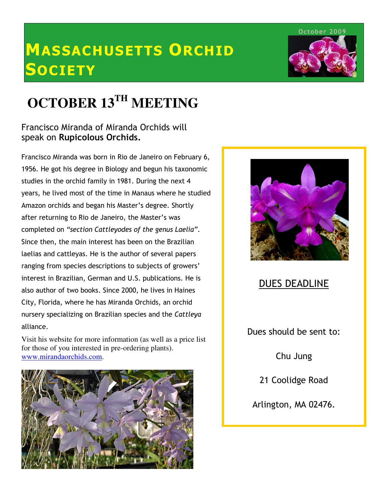# MASSACHUSETTS ORCHID **SOCIETY**

October 2009

# **OCTOBER 13TH MEETING**

### Francisco Miranda of Miranda Orchids will speak on Rupicolous Orchids.

Francisco Miranda was born in Rio de Janeiro on February 6, 1956. He got his degree in Biology and begun his taxonomic studies in the orchid family in 1981. During the next 4 years, he lived most of the time in Manaus where he studied Amazon orchids and began his Master's degree. Shortly after returning to Rio de Janeiro, the Master's was completed on "section Cattleyodes of the genus Laelia". Since then, the main interest has been on the Brazilian laelias and cattleyas. He is the author of several papers ranging from species descriptions to subjects of growers' interest in Brazilian, German and U.S. publications. He is also author of two books. Since 2000, he lives in Haines City, Florida, where he has Miranda Orchids, an orchid nursery specializing on Brazilian species and the Cattleya alliance.

Visit his website for more information (as well as a price list for those of you interested in pre-ordering plants). www.mirandaorchids.com.





## DUES DEADLINE

Dues should be sent to:

Chu Jung

21 Coolidge Road

Arlington, MA 02476.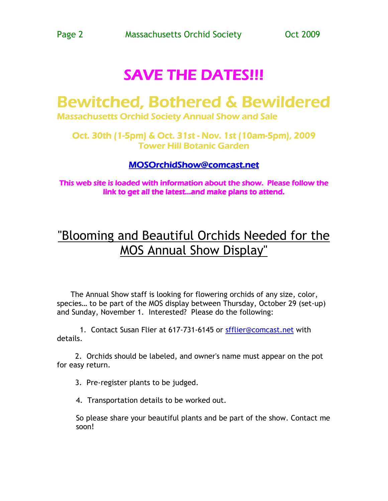# **SAVE THE DATES!!!**

# Bewitched, Bothered & Bewildered

Massachusetts Orchid Society Annual Show and Sale

Oct. 30th (1-5pm) & Oct. 31st - Nov. 1st (10am-5pm), 2009 **Tower Hill Botanic Garden** 

### MOSOrchidShow@comcast.net

This web site is loaded with information about the show. Please follow the link to get all the latest...and make plans to attend.

# "Blooming and Beautiful Orchids Needed for the MOS Annual Show Display"

 The Annual Show staff is looking for flowering orchids of any size, color, species… to be part of the MOS display between Thursday, October 29 (set-up) and Sunday, November 1. Interested? Please do the following:

1. Contact Susan Flier at 617-731-6145 or sfflier@comcast.net with details.

 2. Orchids should be labeled, and owner's name must appear on the pot for easy return.

3. Pre-register plants to be judged.

4. Transportation details to be worked out.

So please share your beautiful plants and be part of the show. Contact me soon!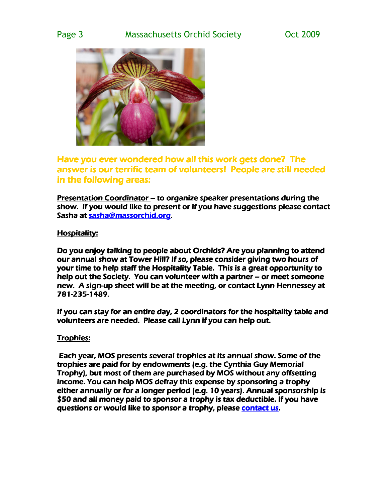

Have you ever wondered how all this work gets done? The answer is our terrific team of volunteers! People are still needed in the following areas:

Presentation Coordinator – to organize speaker presentations during the show. If you would like to present or if you have suggestions please contact Sasha at sasha@massorchid.org.

### Hospitality:

Do you enjoy talking to people about Orchids? Are you planning to attend our annual show at Tower Hill? If so, please consider giving two hours of your time to help staff the Hospitality Table. This is a great opportunity to help out the Society. You can volunteer with a partner  $-$  or meet someone new. A sign-up sheet will be at the meeting, or contact Lynn Hennessey at 781-235-1489.

If you can stay for an entire day, 2 coordinators for the hospitality table and volunteers are needed. Please call Lynn if you can help out.

### Trophies:

Each year, MOS presents several trophies at its annual show. Some of the trophies are paid for by endowments (e.g. the Cynthia Guy Memorial Trophy), but most of them are purchased by MOS without any offsetting income. You can help MOS defray this expense by sponsoring a trophy either annually or for a longer period (e.g. 10 years). Annual sponsorship is \$50 and all money paid to sponsor a trophy is tax deductible. If you have questions or would like to sponsor a trophy, please contact us.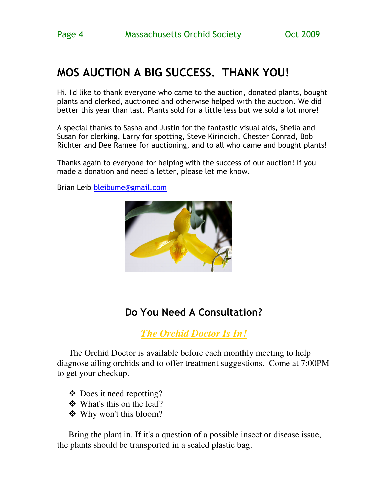## MOS AUCTION A BIG SUCCESS. THANK YOU!

Hi. I'd like to thank everyone who came to the auction, donated plants, bought plants and clerked, auctioned and otherwise helped with the auction. We did better this year than last. Plants sold for a little less but we sold a lot more!

A special thanks to Sasha and Justin for the fantastic visual aids, Sheila and Susan for clerking, Larry for spotting, Steve Kirincich, Chester Conrad, Bob Richter and Dee Ramee for auctioning, and to all who came and bought plants!

Thanks again to everyone for helping with the success of our auction! If you made a donation and need a letter, please let me know.

Brian Leib bleibume@gmail.com



### Do You Need A Consultation?

*The Orchid Doctor Is In!*

The Orchid Doctor is available before each monthly meeting to help diagnose ailing orchids and to offer treatment suggestions. Come at 7:00PM to get your checkup.

- Does it need repotting?
- What's this on the leaf?
- Why won't this bloom?

Bring the plant in. If it's a question of a possible insect or disease issue, the plants should be transported in a sealed plastic bag.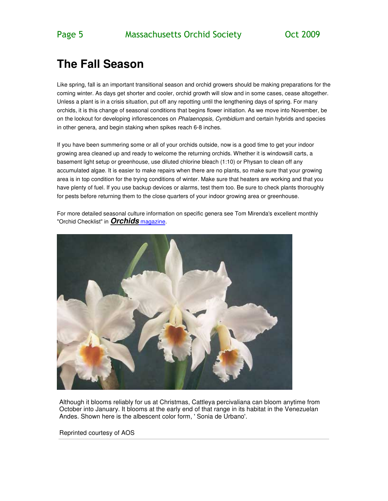## **The Fall Season**

Like spring, fall is an important transitional season and orchid growers should be making preparations for the coming winter. As days get shorter and cooler, orchid growth will slow and in some cases, cease altogether. Unless a plant is in a crisis situation, put off any repotting until the lengthening days of spring. For many orchids, it is this change of seasonal conditions that begins flower initiation. As we move into November, be on the lookout for developing inflorescences on Phalaenopsis, Cymbidium and certain hybrids and species in other genera, and begin staking when spikes reach 6-8 inches.

If you have been summering some or all of your orchids outside, now is a good time to get your indoor growing area cleaned up and ready to welcome the returning orchids. Whether it is windowsill carts, a basement light setup or greenhouse, use diluted chlorine bleach (1:10) or Physan to clean off any accumulated algae. It is easier to make repairs when there are no plants, so make sure that your growing area is in top condition for the trying conditions of winter. Make sure that heaters are working and that you have plenty of fuel. If you use backup devices or alarms, test them too. Be sure to check plants thoroughly for pests before returning them to the close quarters of your indoor growing area or greenhouse.

For more detailed seasonal culture information on specific genera see Tom Mirenda's excellent monthly "Orchid Checklist" in **Orchids** magazine.



Although it blooms reliably for us at Christmas, Cattleya percivaliana can bloom anytime from October into January. It blooms at the early end of that range in its habitat in the Venezuelan Andes. Shown here is the albescent color form, ' Sonia de Urbano'.

Reprinted courtesy of AOS